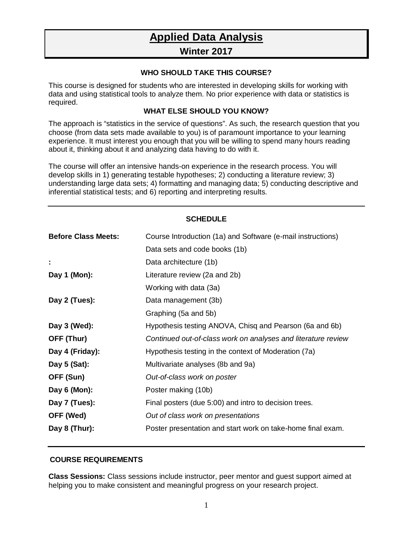# **Applied Data Analysis**

## **Winter 2017**

#### **WHO SHOULD TAKE THIS COURSE?**

This course is designed for students who are interested in developing skills for working with data and using statistical tools to analyze them. No prior experience with data or statistics is required.

### **WHAT ELSE SHOULD YOU KNOW?**

The approach is "statistics in the service of questions". As such, the research question that you choose (from data sets made available to you) is of paramount importance to your learning experience. It must interest you enough that you will be willing to spend many hours reading about it, thinking about it and analyzing data having to do with it.

The course will offer an intensive hands-on experience in the research process. You will develop skills in 1) generating testable hypotheses; 2) conducting a literature review; 3) understanding large data sets; 4) formatting and managing data; 5) conducting descriptive and inferential statistical tests; and 6) reporting and interpreting results.

| <b>SCHEDULE</b>            |                                                               |
|----------------------------|---------------------------------------------------------------|
| <b>Before Class Meets:</b> | Course Introduction (1a) and Software (e-mail instructions)   |
|                            | Data sets and code books (1b)                                 |
|                            | Data architecture (1b)                                        |
| Day 1 (Mon):               | Literature review (2a and 2b)                                 |
|                            | Working with data (3a)                                        |
| Day 2 (Tues):              | Data management (3b)                                          |
|                            | Graphing (5a and 5b)                                          |
| Day 3 (Wed):               | Hypothesis testing ANOVA, Chisq and Pearson (6a and 6b)       |
| OFF (Thur)                 | Continued out-of-class work on analyses and literature review |
| Day 4 (Friday):            | Hypothesis testing in the context of Moderation (7a)          |
| Day $5$ (Sat):             | Multivariate analyses (8b and 9a)                             |
| OFF (Sun)                  | Out-of-class work on poster                                   |
| Day 6 (Mon):               | Poster making (10b)                                           |
| Day 7 (Tues):              | Final posters (due 5:00) and intro to decision trees.         |
| OFF (Wed)                  | Out of class work on presentations                            |
| Day 8 (Thur):              | Poster presentation and start work on take-home final exam.   |

#### **COURSE REQUIREMENTS**

**Class Sessions:** Class sessions include instructor, peer mentor and guest support aimed at helping you to make consistent and meaningful progress on your research project.